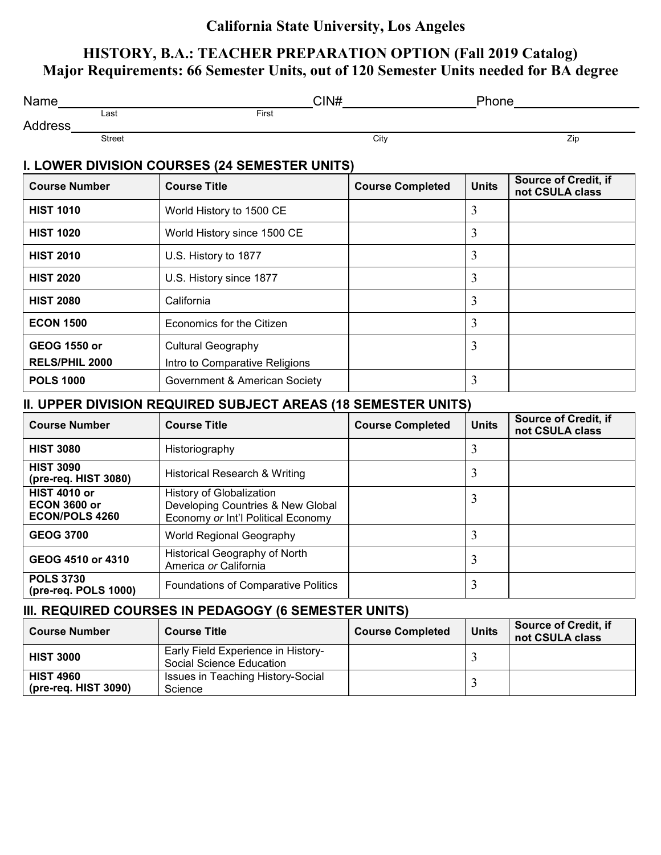## **California State University, Los Angeles**

## **HISTORY, B.A.: TEACHER PREPARATION OPTION (Fall 2019 Catalog) Major Requirements: 66 Semester Units, out of 120 Semester Units needed for BA degree**

| Name                                                                | CIN#                                                                                                |                         | Phone        |                                                |  |
|---------------------------------------------------------------------|-----------------------------------------------------------------------------------------------------|-------------------------|--------------|------------------------------------------------|--|
| Last<br>Address                                                     | First                                                                                               |                         |              |                                                |  |
| <b>Street</b>                                                       |                                                                                                     | City                    |              | Zip                                            |  |
|                                                                     | I. LOWER DIVISION COURSES (24 SEMESTER UNITS)                                                       |                         |              |                                                |  |
| <b>Course Number</b>                                                | <b>Course Title</b>                                                                                 | <b>Course Completed</b> | <b>Units</b> | Source of Credit, if<br>not CSULA class        |  |
| <b>HIST 1010</b>                                                    | World History to 1500 CE                                                                            |                         | 3            |                                                |  |
| <b>HIST 1020</b>                                                    | World History since 1500 CE                                                                         |                         | 3            |                                                |  |
| <b>HIST 2010</b>                                                    | U.S. History to 1877                                                                                |                         | 3            |                                                |  |
| <b>HIST 2020</b>                                                    | U.S. History since 1877                                                                             |                         | 3            |                                                |  |
| <b>HIST 2080</b>                                                    | California                                                                                          |                         | 3            |                                                |  |
| <b>ECON 1500</b>                                                    | Economics for the Citizen                                                                           |                         | 3            |                                                |  |
| <b>GEOG 1550 or</b><br>RELS/PHIL 2000                               | <b>Cultural Geography</b><br>Intro to Comparative Religions                                         |                         | 3            |                                                |  |
| <b>POLS 1000</b>                                                    | Government & American Society                                                                       |                         | 3            |                                                |  |
|                                                                     | II. UPPER DIVISION REQUIRED SUBJECT AREAS (18 SEMESTER UNITS)                                       |                         |              |                                                |  |
| <b>Course Number</b>                                                | <b>Course Title</b>                                                                                 | <b>Course Completed</b> | <b>Units</b> | <b>Source of Credit, if</b><br>not CSULA class |  |
| <b>HIST 3080</b>                                                    | Historiography                                                                                      |                         | 3            |                                                |  |
| <b>HIST 3090</b><br>(pre-req. HIST 3080)                            | <b>Historical Research &amp; Writing</b>                                                            |                         | 3            |                                                |  |
| <b>HIST 4010 or</b><br><b>ECON 3600 or</b><br><b>ECON/POLS 4260</b> | History of Globalization<br>Developing Countries & New Global<br>Economy or Int'l Political Economy |                         | 3            |                                                |  |
| <b>GEOG 3700</b>                                                    | World Regional Geography                                                                            |                         | 3            |                                                |  |
| GEOG 4510 or 4310                                                   | Historical Geography of North<br>America or California                                              |                         | 3            |                                                |  |
| <b>POLS 3730</b><br>(pre-req. POLS 1000)                            | <b>Foundations of Comparative Politics</b>                                                          |                         | 3            |                                                |  |
|                                                                     | III. REQUIRED COURSES IN PEDAGOGY (6 SEMESTER UNITS)                                                |                         |              |                                                |  |
| <b>Course Number</b>                                                | <b>Course Title</b>                                                                                 | <b>Course Completed</b> | <b>Units</b> | <b>Source of Credit, if</b><br>not CSULA class |  |
| <b>HIST 3000</b>                                                    | Early Field Experience in History-<br>Social Science Education                                      |                         | 3            |                                                |  |

Issues in Teaching History-Social Science <sup>3</sup>

**HIST 4960**

**(pre-req. HIST 3090)**